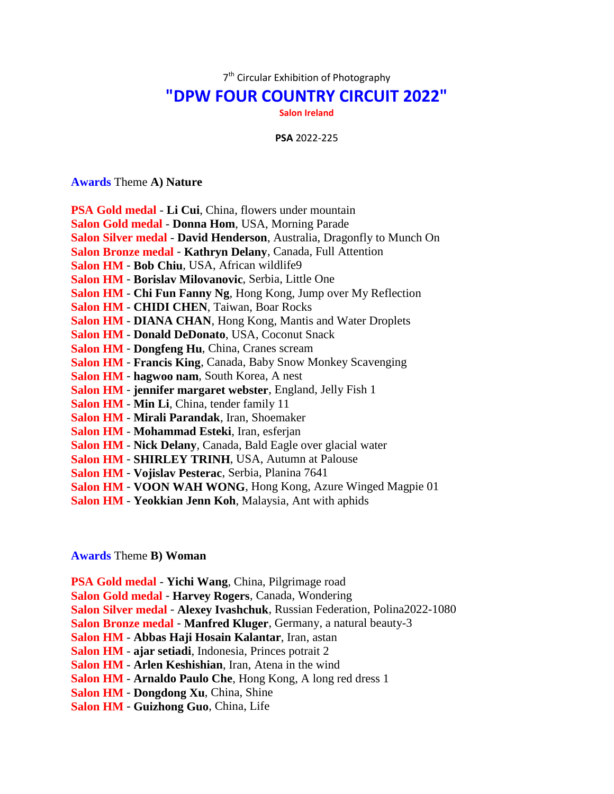7<sup>th</sup> Circular Exhibition of Photography

## **"DPW FOUR COUNTRY CIRCUIT 2022"**

**Salon Ireland**

**PSA** 2022-225

## **Awards** Theme **A) Nature**

| <b>PSA Gold medal - Li Cui</b> , China, flowers under mountain         |
|------------------------------------------------------------------------|
| <b>Salon Gold medal - Donna Hom, USA, Morning Parade</b>               |
|                                                                        |
| Salon Silver medal - David Henderson, Australia, Dragonfly to Munch On |
| Salon Bronze medal - Kathryn Delany, Canada, Full Attention            |
| Salon HM - Bob Chiu, USA, African wildlife9                            |
| Salon HM - Borislav Milovanovic, Serbia, Little One                    |
| Salon HM - Chi Fun Fanny Ng, Hong Kong, Jump over My Reflection        |
| <b>Salon HM - CHIDI CHEN, Taiwan, Boar Rocks</b>                       |
| <b>Salon HM - DIANA CHAN, Hong Kong, Mantis and Water Droplets</b>     |
| <b>Salon HM - Donald DeDonato, USA, Coconut Snack</b>                  |
| Salon HM - Dongfeng Hu, China, Cranes scream                           |
| <b>Salon HM - Francis King, Canada, Baby Snow Monkey Scavenging</b>    |
| Salon HM - hagwoo nam, South Korea, A nest                             |
| <b>Salon HM - jennifer margaret webster</b> , England, Jelly Fish 1    |
| <b>Salon HM - Min Li</b> , China, tender family 11                     |
| Salon HM - Mirali Parandak, Iran, Shoemaker                            |
| Salon HM - Mohammad Esteki, Iran, esferjan                             |
| Salon HM - Nick Delany, Canada, Bald Eagle over glacial water          |
| Salon HM - SHIRLEY TRINH, USA, Autumn at Palouse                       |
| Salon HM - Vojislav Pesterac, Serbia, Planina 7641                     |
| Salon HM - VOON WAH WONG, Hong Kong, Azure Winged Magpie 01            |

**Salon HM** - **Yeokkian Jenn Koh**, Malaysia, Ant with aphids

## **Awards** Theme **B) Woman**

**PSA Gold medal** - **Yichi Wang**, China, Pilgrimage road **Salon Gold medal** - **Harvey Rogers**, Canada, Wondering **Salon Silver medal** - **Alexey Ivashchuk**, Russian Federation, Polina2022-1080 **Salon Bronze medal** - **Manfred Kluger**, Germany, a natural beauty-3 **Salon HM** - **Abbas Haji Hosain Kalantar**, Iran, astan **Salon HM** - **ajar setiadi**, Indonesia, Princes potrait 2 **Salon HM** - **Arlen Keshishian**, Iran, Atena in the wind **Salon HM** - **Arnaldo Paulo Che**, Hong Kong, A long red dress 1 **Salon HM** - **Dongdong Xu**, China, Shine **Salon HM** - **Guizhong Guo**, China, Life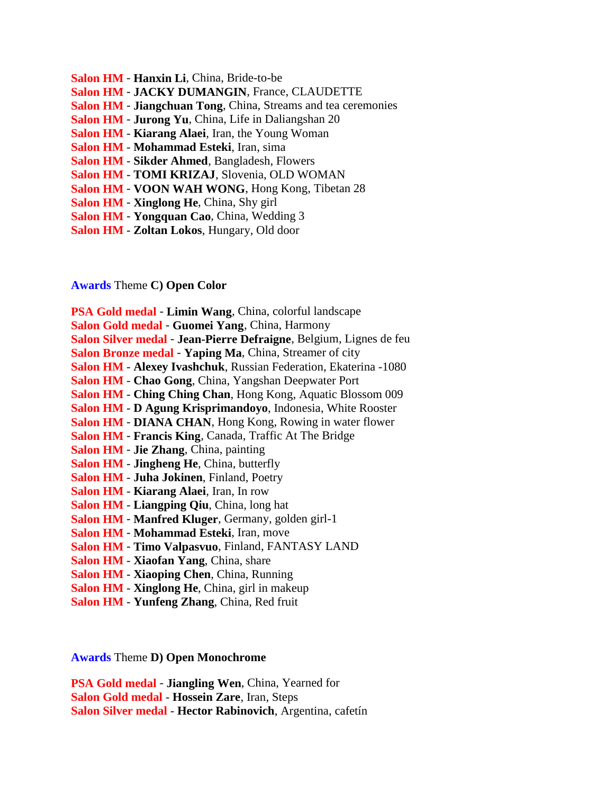- **Salon HM Hanxin Li**, China, Bride-to-be
- **Salon HM JACKY DUMANGIN**, France, CLAUDETTE
- **Salon HM Jiangchuan Tong**, China, Streams and tea ceremonies
- **Salon HM Jurong Yu**, China, Life in Daliangshan 20
- **Salon HM Kiarang Alaei**, Iran, the Young Woman
- **Salon HM Mohammad Esteki**, Iran, sima
- **Salon HM Sikder Ahmed**, Bangladesh, Flowers
- **Salon HM TOMI KRIZAJ**, Slovenia, OLD WOMAN
- **Salon HM VOON WAH WONG**, Hong Kong, Tibetan 28
- **Salon HM Xinglong He**, China, Shy girl
- **Salon HM Yongquan Cao**, China, Wedding 3
- **Salon HM Zoltan Lokos**, Hungary, Old door

**Awards** Theme **C) Open Color**

**PSA Gold medal** - **Limin Wang**, China, colorful landscape **Salon Gold medal** - **Guomei Yang**, China, Harmony **Salon Silver medal** - **Jean-Pierre Defraigne**, Belgium, Lignes de feu **Salon Bronze medal** - **Yaping Ma**, China, Streamer of city **Salon HM** - **Alexey Ivashchuk**, Russian Federation, Ekaterina -1080 **Salon HM** - **Chao Gong**, China, Yangshan Deepwater Port **Salon HM** - **Ching Ching Chan**, Hong Kong, Aquatic Blossom 009 **Salon HM** - **D Agung Krisprimandoyo**, Indonesia, White Rooster **Salon HM** - **DIANA CHAN**, Hong Kong, Rowing in water flower **Salon HM** - **Francis King**, Canada, Traffic At The Bridge **Salon HM** - **Jie Zhang**, China, painting **Salon HM** - **Jingheng He**, China, butterfly **Salon HM** - **Juha Jokinen**, Finland, Poetry **Salon HM** - **Kiarang Alaei**, Iran, In row **Salon HM** - **Liangping Qiu**, China, long hat **Salon HM** - **Manfred Kluger**, Germany, golden girl-1 **Salon HM** - **Mohammad Esteki**, Iran, move **Salon HM** - **Timo Valpasvuo**, Finland, FANTASY LAND **Salon HM** - **Xiaofan Yang**, China, share **Salon HM** - **Xiaoping Chen**, China, Running **Salon HM** - **Xinglong He**, China, girl in makeup **Salon HM** - **Yunfeng Zhang**, China, Red fruit

**Awards** Theme **D) Open Monochrome**

**PSA Gold medal** - **Jiangling Wen**, China, Yearned for **Salon Gold medal** - **Hossein Zare**, Iran, Steps **Salon Silver medal** - **Hector Rabinovich**, Argentina, cafetín